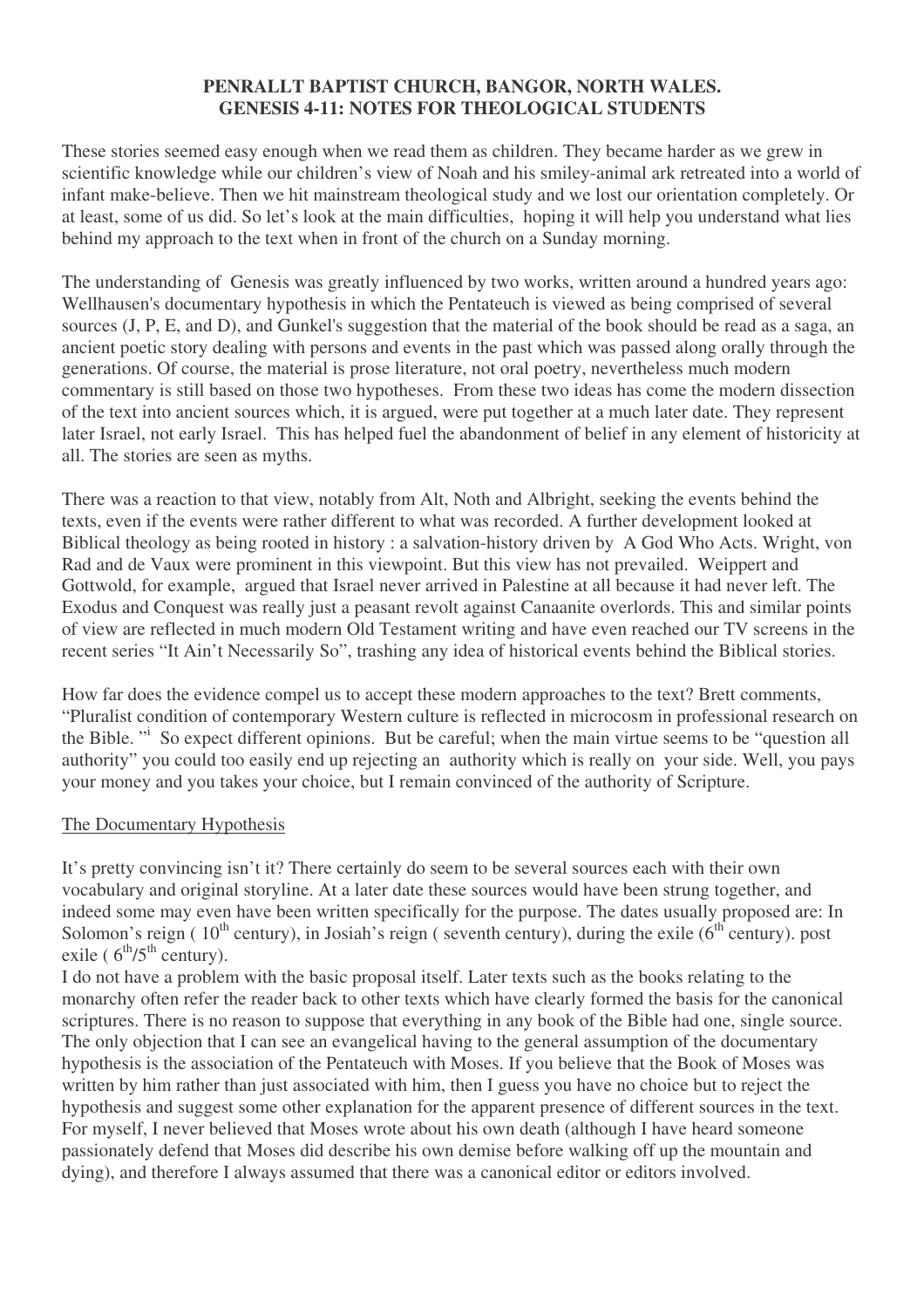#### **PENRALLT BAPTIST CHURCH, BANGOR, NORTH WALES. GENESIS 4-11: NOTES FOR THEOLOGICAL STUDENTS**

These stories seemed easy enough when we read them as children. They became harder as we grew in scientific knowledge while our children's view of Noah and his smiley-animal ark retreated into a world of infant make-believe. Then we hit mainstream theological study and we lost our orientation completely. Or at least, some of us did. So let's look at the main difficulties, hoping it will help you understand what lies behind my approach to the text when in front of the church on a Sunday morning.

The understanding of Genesis was greatly influenced by two works, written around a hundred years ago: Wellhausen's documentary hypothesis in which the Pentateuch is viewed as being comprised of several sources (J, P, E, and D), and Gunkel's suggestion that the material of the book should be read as a saga, an ancient poetic story dealing with persons and events in the past which was passed along orally through the generations. Of course, the material is prose literature, not oral poetry, nevertheless much modern commentary is still based on those two hypotheses. From these two ideas has come the modern dissection of the text into ancient sources which, it is argued, were put together at a much later date. They represent later Israel, not early Israel. This has helped fuel the abandonment of belief in any element of historicity at all. The stories are seen as myths.

There was a reaction to that view, notably from Alt, Noth and Albright, seeking the events behind the texts, even if the events were rather different to what was recorded. A further development looked at Biblical theology as being rooted in history : a salvation-history driven by A God Who Acts. Wright, von Rad and de Vaux were prominent in this viewpoint. But this view has not prevailed. Weippert and Gottwold, for example, argued that Israel never arrived in Palestine at all because it had never left. The Exodus and Conquest was really just a peasant revolt against Canaanite overlords. This and similar points of view are reflected in much modern Old Testament writing and have even reached our TV screens in the recent series "It Ain't Necessarily So", trashing any idea of historical events behind the Biblical stories.

How far does the evidence compel us to accept these modern approaches to the text? Brett comments, "Pluralist condition of contemporary Western culture is reflected in microcosm in professional research on the Bible. "<sup>i</sup> So expect different opinions. But be careful; when the main virtue seems to be "question all authority" you could too easily end up rejecting an authority which is really on your side. Well, you pays your money and you takes your choice, but I remain convinced of the authority of Scripture.

# The Documentary Hypothesis

It's pretty convincing isn't it? There certainly do seem to be several sources each with their own vocabulary and original storyline. At a later date these sources would have been strung together, and indeed some may even have been written specifically for the purpose. The dates usually proposed are: In Solomon's reign (10<sup>th</sup> century), in Josiah's reign (seventh century), during the exile (6<sup>th</sup> century). post exile ( $6^{\text{th}}/5^{\text{th}}$  century).

I do not have a problem with the basic proposal itself. Later texts such as the books relating to the monarchy often refer the reader back to other texts which have clearly formed the basis for the canonical scriptures. There is no reason to suppose that everything in any book of the Bible had one, single source. The only objection that I can see an evangelical having to the general assumption of the documentary hypothesis is the association of the Pentateuch with Moses. If you believe that the Book of Moses was written by him rather than just associated with him, then I guess you have no choice but to reject the hypothesis and suggest some other explanation for the apparent presence of different sources in the text. For myself, I never believed that Moses wrote about his own death (although I have heard someone passionately defend that Moses did describe his own demise before walking off up the mountain and dying), and therefore I always assumed that there was a canonical editor or editors involved.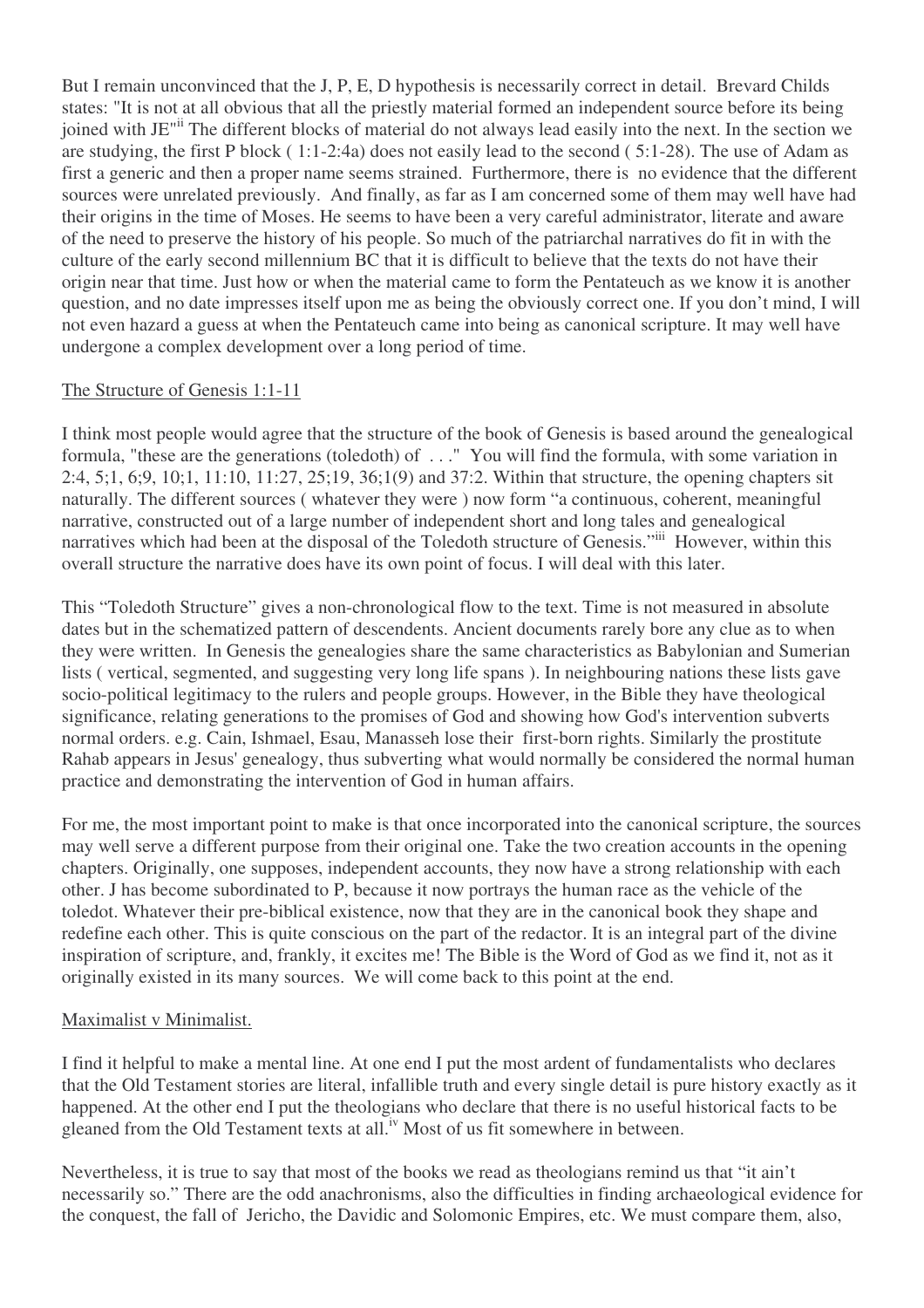But I remain unconvinced that the J, P, E, D hypothesis is necessarily correct in detail. Brevard Childs states: "It is not at all obvious that all the priestly material formed an independent source before its being joined with JE" The different blocks of material do not always lead easily into the next. In the section we are studying, the first P block ( 1:1-2:4a) does not easily lead to the second ( 5:1-28). The use of Adam as first a generic and then a proper name seems strained. Furthermore, there is no evidence that the different sources were unrelated previously. And finally, as far as I am concerned some of them may well have had their origins in the time of Moses. He seems to have been a very careful administrator, literate and aware of the need to preserve the history of his people. So much of the patriarchal narratives do fit in with the culture of the early second millennium BC that it is difficult to believe that the texts do not have their origin near that time. Just how or when the material came to form the Pentateuch as we know it is another question, and no date impresses itself upon me as being the obviously correct one. If you don't mind, I will not even hazard a guess at when the Pentateuch came into being as canonical scripture. It may well have undergone a complex development over a long period of time.

# The Structure of Genesis 1:1-11

I think most people would agree that the structure of the book of Genesis is based around the genealogical formula, "these are the generations (toledoth) of . . ." You will find the formula, with some variation in 2:4, 5;1, 6;9, 10;1, 11:10, 11:27, 25;19, 36;1(9) and 37:2. Within that structure, the opening chapters sit naturally. The different sources ( whatever they were ) now form "a continuous, coherent, meaningful narrative, constructed out of a large number of independent short and long tales and genealogical narratives which had been at the disposal of the Toledoth structure of Genesis."iii However, within this overall structure the narrative does have its own point of focus. I will deal with this later.

This "Toledoth Structure" gives a non-chronological flow to the text. Time is not measured in absolute dates but in the schematized pattern of descendents. Ancient documents rarely bore any clue as to when they were written. In Genesis the genealogies share the same characteristics as Babylonian and Sumerian lists ( vertical, segmented, and suggesting very long life spans ). In neighbouring nations these lists gave socio-political legitimacy to the rulers and people groups. However, in the Bible they have theological significance, relating generations to the promises of God and showing how God's intervention subverts normal orders. e.g. Cain, Ishmael, Esau, Manasseh lose their first-born rights. Similarly the prostitute Rahab appears in Jesus'genealogy, thus subverting what would normally be considered the normal human practice and demonstrating the intervention of God in human affairs.

For me, the most important point to make is that once incorporated into the canonical scripture, the sources may well serve a different purpose from their original one. Take the two creation accounts in the opening chapters. Originally, one supposes, independent accounts, they now have a strong relationship with each other. J has become subordinated to P, because it now portrays the human race as the vehicle of the toledot. Whatever their pre-biblical existence, now that they are in the canonical book they shape and redefine each other. This is quite conscious on the part of the redactor. It is an integral part of the divine inspiration of scripture, and, frankly, it excites me! The Bible is the Word of God as we find it, not as it originally existed in its many sources. We will come back to this point at the end.

# Maximalist v Minimalist.

I find it helpful to make a mental line. At one end I put the most ardent of fundamentalists who declares that the Old Testament stories are literal, infallible truth and every single detail is pure history exactly as it happened. At the other end I put the theologians who declare that there is no useful historical facts to be gleaned from the Old Testament texts at all.<sup>iv</sup> Most of us fit somewhere in between.

Nevertheless, it is true to say that most of the books we read as theologians remind us that "it ain't necessarily so." There are the odd anachronisms, also the difficulties in finding archaeological evidence for the conquest, the fall of Jericho, the Davidic and Solomonic Empires, etc. We must compare them, also,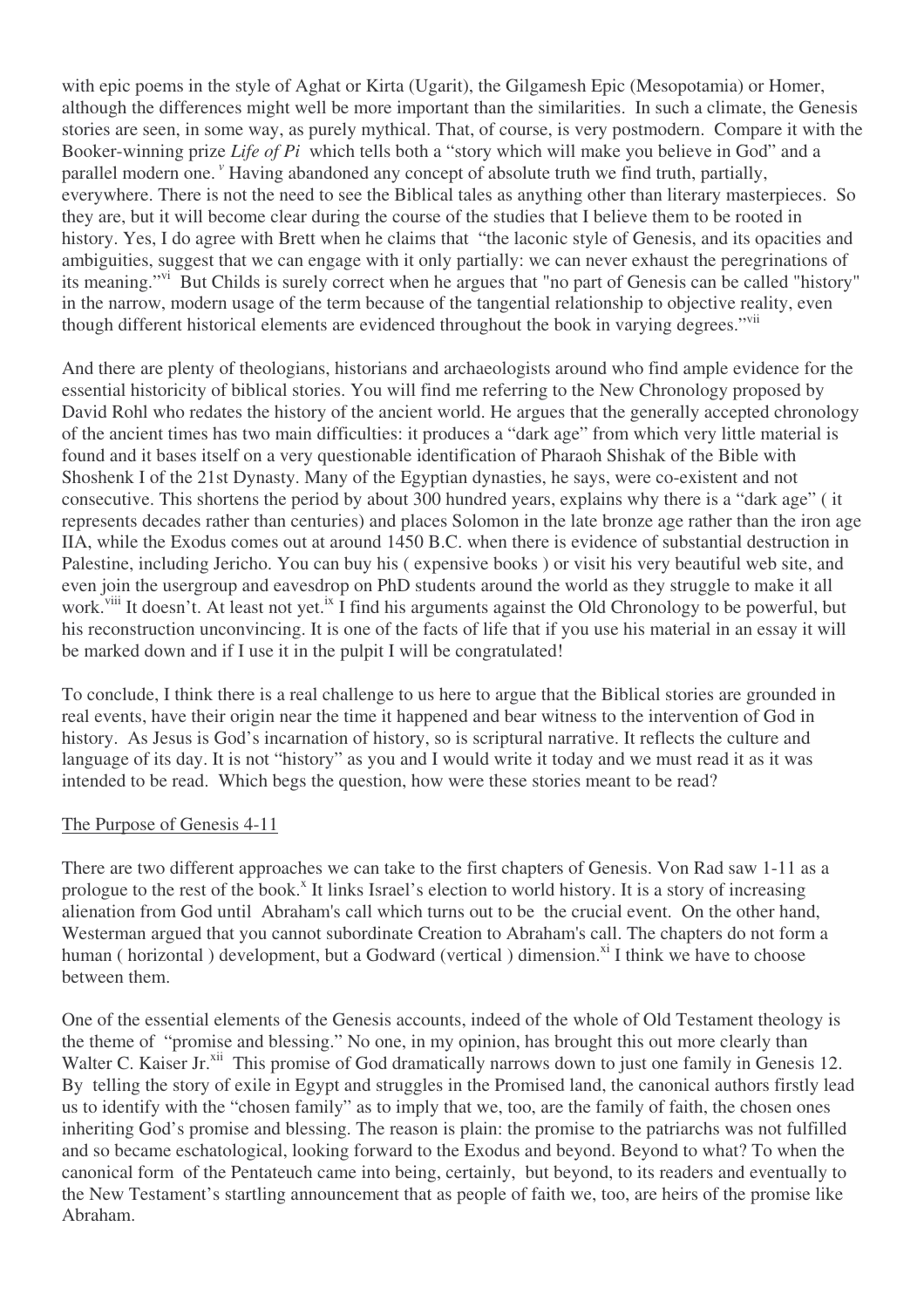with epic poems in the style of Aghat or Kirta (Ugarit), the Gilgamesh Epic (Mesopotamia) or Homer, although the differences might well be more important than the similarities. In such a climate, the Genesis stories are seen, in some way, as purely mythical. That, of course, is very postmodern. Compare it with the Booker-winning prize *Life of Pi* which tells both a "story which will make you believe in God" and a parallel modern one.<sup>"</sup> Having abandoned any concept of absolute truth we find truth, partially, everywhere. There is not the need to see the Biblical tales as anything other than literary masterpieces. So they are, but it will become clear during the course of the studies that I believe them to be rooted in history. Yes, I do agree with Brett when he claims that "the laconic style of Genesis, and its opacities and ambiguities, suggest that we can engage with it only partially: we can never exhaust the peregrinations of its meaning."<sup>vi</sup> But Childs is surely correct when he argues that "no part of Genesis can be called "history" in the narrow, modern usage of the term because of the tangential relationship to objective reality, even though different historical elements are evidenced throughout the book in varying degrees."<sup>vii</sup>

And there are plenty of theologians, historians and archaeologists around who find ample evidence for the essential historicity of biblical stories. You will find me referring to the New Chronology proposed by David Rohl who redates the history of the ancient world. He argues that the generally accepted chronology of the ancient times has two main difficulties: it produces a "dark age" from which very little material is found and it bases itself on a very questionable identification of Pharaoh Shishak of the Bible with Shoshenk I of the 21st Dynasty. Many of the Egyptian dynasties, he says, were co-existent and not consecutive. This shortens the period by about 300 hundred years, explains why there is a "dark age" ( it represents decades rather than centuries) and places Solomon in the late bronze age rather than the iron age IIA, while the Exodus comes out at around 1450 B.C. when there is evidence of substantial destruction in Palestine, including Jericho. You can buy his ( expensive books ) or visit his very beautiful web site, and even join the usergroup and eavesdrop on PhD students around the world as they struggle to make it all work.<sup>viii</sup> It doesn't. At least not yet.<sup>ix</sup> I find his arguments against the Old Chronology to be powerful, but his reconstruction unconvincing. It is one of the facts of life that if you use his material in an essay it will be marked down and if I use it in the pulpit I will be congratulated!

To conclude, I think there is a real challenge to us here to argue that the Biblical stories are grounded in real events, have their origin near the time it happened and bear witness to the intervention of God in history. As Jesus is God's incarnation of history, so is scriptural narrative. It reflects the culture and language of its day. It is not "history" as you and I would write it today and we must read it as it was intended to be read. Which begs the question, how were these stories meant to be read?

# The Purpose of Genesis 4-11

There are two different approaches we can take to the first chapters of Genesis. Von Rad saw 1-11 as a prologue to the rest of the book.<sup>x</sup> It links Israel's election to world history. It is a story of increasing alienation from God until Abraham's call which turns out to be the crucial event. On the other hand, Westerman argued that you cannot subordinate Creation to Abraham's call. The chapters do not form a human (horizontal) development, but a Godward (vertical) dimension.<sup>xi</sup> I think we have to choose between them.

One of the essential elements of the Genesis accounts, indeed of the whole of Old Testament theology is the theme of "promise and blessing." No one, in my opinion, has brought this out more clearly than Walter C. Kaiser Jr.<sup>xii</sup> This promise of God dramatically narrows down to just one family in Genesis 12. By telling the story of exile in Egypt and struggles in the Promised land, the canonical authors firstly lead us to identify with the "chosen family" as to imply that we, too, are the family of faith, the chosen ones inheriting God's promise and blessing. The reason is plain: the promise to the patriarchs was not fulfilled and so became eschatological, looking forward to the Exodus and beyond. Beyond to what? To when the canonical form of the Pentateuch came into being, certainly, but beyond, to its readers and eventually to the New Testament's startling announcement that as people of faith we, too, are heirs of the promise like Abraham.